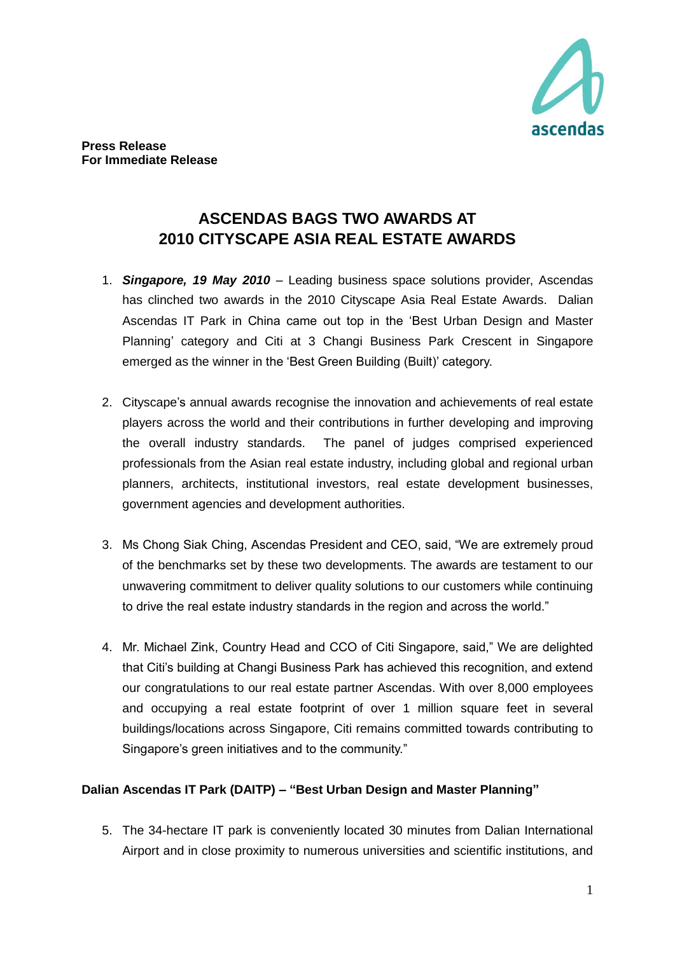

## **ASCENDAS BAGS TWO AWARDS AT 2010 CITYSCAPE ASIA REAL ESTATE AWARDS**

- 1. *Singapore, 19 May 2010* Leading business space solutions provider, Ascendas has clinched two awards in the 2010 Cityscape Asia Real Estate Awards. Dalian Ascendas IT Park in China came out top in the "Best Urban Design and Master Planning" category and Citi at 3 Changi Business Park Crescent in Singapore emerged as the winner in the "Best Green Building (Built)" category.
- 2. Cityscape's annual awards recognise the innovation and achievements of real estate players across the world and their contributions in further developing and improving the overall industry standards. The panel of judges comprised experienced professionals from the Asian real estate industry, including global and regional urban planners, architects, institutional investors, real estate development businesses, government agencies and development authorities.
- 3. Ms Chong Siak Ching, Ascendas President and CEO, said, "We are extremely proud of the benchmarks set by these two developments. The awards are testament to our unwavering commitment to deliver quality solutions to our customers while continuing to drive the real estate industry standards in the region and across the world."
- 4. Mr. Michael Zink, Country Head and CCO of Citi Singapore, said," We are delighted that Citi"s building at Changi Business Park has achieved this recognition, and extend our congratulations to our real estate partner Ascendas. With over 8,000 employees and occupying a real estate footprint of over 1 million square feet in several buildings/locations across Singapore, Citi remains committed towards contributing to Singapore's green initiatives and to the community."

## **Dalian Ascendas IT Park (DAITP) – "Best Urban Design and Master Planning"**

5. The 34-hectare IT park is conveniently located 30 minutes from Dalian International Airport and in close proximity to numerous universities and scientific institutions, and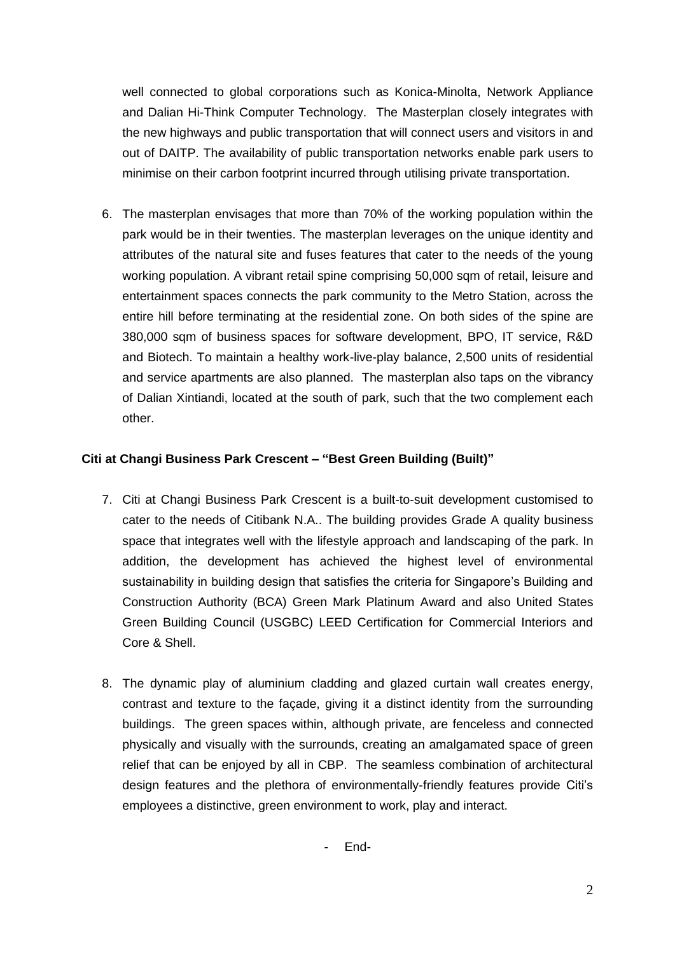well connected to global corporations such as Konica-Minolta, Network Appliance and Dalian Hi-Think Computer Technology. The Masterplan closely integrates with the new highways and public transportation that will connect users and visitors in and out of DAITP. The availability of public transportation networks enable park users to minimise on their carbon footprint incurred through utilising private transportation.

6. The masterplan envisages that more than 70% of the working population within the park would be in their twenties. The masterplan leverages on the unique identity and attributes of the natural site and fuses features that cater to the needs of the young working population. A vibrant retail spine comprising 50,000 sqm of retail, leisure and entertainment spaces connects the park community to the Metro Station, across the entire hill before terminating at the residential zone. On both sides of the spine are 380,000 sqm of business spaces for software development, BPO, IT service, R&D and Biotech. To maintain a healthy work-live-play balance, 2,500 units of residential and service apartments are also planned. The masterplan also taps on the vibrancy of Dalian Xintiandi, located at the south of park, such that the two complement each other.

## **Citi at Changi Business Park Crescent – "Best Green Building (Built)"**

- 7. Citi at Changi Business Park Crescent is a built-to-suit development customised to cater to the needs of Citibank N.A.. The building provides Grade A quality business space that integrates well with the lifestyle approach and landscaping of the park. In addition, the development has achieved the highest level of environmental sustainability in building design that satisfies the criteria for Singapore"s Building and Construction Authority (BCA) Green Mark Platinum Award and also United States Green Building Council (USGBC) LEED Certification for Commercial Interiors and Core & Shell.
- 8. The dynamic play of aluminium cladding and glazed curtain wall creates energy, contrast and texture to the façade, giving it a distinct identity from the surrounding buildings. The green spaces within, although private, are fenceless and connected physically and visually with the surrounds, creating an amalgamated space of green relief that can be enjoyed by all in CBP. The seamless combination of architectural design features and the plethora of environmentally-friendly features provide Citi"s employees a distinctive, green environment to work, play and interact.